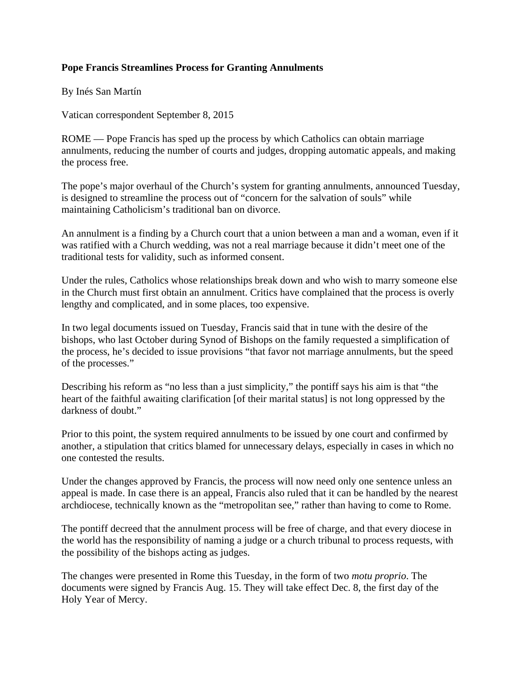## **Pope Francis Streamlines Process for Granting Annulments**

By Inés San Martín

Vatican correspondent September 8, 2015

ROME — Pope Francis has sped up the process by which Catholics can obtain marriage annulments, reducing the number of courts and judges, dropping automatic appeals, and making the process free.

The pope's major overhaul of the Church's system for granting annulments, announced Tuesday, is designed to streamline the process out of "concern for the salvation of souls" while maintaining Catholicism's traditional ban on divorce.

An annulment is a finding by a Church court that a union between a man and a woman, even if it was ratified with a Church wedding, was not a real marriage because it didn't meet one of the traditional tests for validity, such as informed consent.

Under the rules, Catholics whose relationships break down and who wish to marry someone else in the Church must first obtain an annulment. Critics have complained that the process is overly lengthy and complicated, and in some places, too expensive.

In two legal documents issued on Tuesday, Francis said that in tune with the desire of the bishops, who last October during Synod of Bishops on the family requested a simplification of the process, he's decided to issue provisions "that favor not marriage annulments, but the speed of the processes."

Describing his reform as "no less than a just simplicity," the pontiff says his aim is that "the heart of the faithful awaiting clarification [of their marital status] is not long oppressed by the darkness of doubt."

Prior to this point, the system required annulments to be issued by one court and confirmed by another, a stipulation that critics blamed for unnecessary delays, especially in cases in which no one contested the results.

Under the changes approved by Francis, the process will now need only one sentence unless an appeal is made. In case there is an appeal, Francis also ruled that it can be handled by the nearest archdiocese, technically known as the "metropolitan see," rather than having to come to Rome.

The pontiff decreed that the annulment process will be free of charge, and that every diocese in the world has the responsibility of naming a judge or a church tribunal to process requests, with the possibility of the bishops acting as judges.

The changes were presented in Rome this Tuesday, in the form of two *motu proprio*. The documents were signed by Francis Aug. 15. They will take effect Dec. 8, the first day of the Holy Year of Mercy.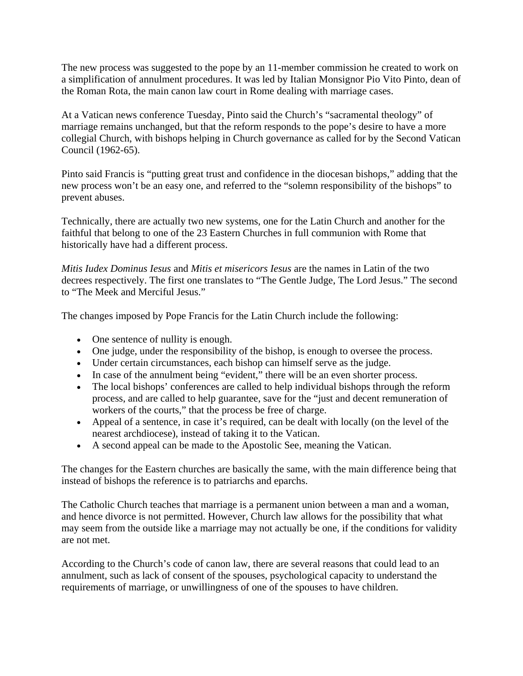The new process was suggested to the pope by an 11-member commission he created to work on a simplification of annulment procedures. It was led by Italian Monsignor Pio Vito Pinto, dean of the Roman Rota, the main canon law court in Rome dealing with marriage cases.

At a Vatican news conference Tuesday, Pinto said the Church's "sacramental theology" of marriage remains unchanged, but that the reform responds to the pope's desire to have a more collegial Church, with bishops helping in Church governance as called for by the Second Vatican Council (1962-65).

Pinto said Francis is "putting great trust and confidence in the diocesan bishops," adding that the new process won't be an easy one, and referred to the "solemn responsibility of the bishops" to prevent abuses.

Technically, there are actually two new systems, one for the Latin Church and another for the faithful that belong to one of the 23 Eastern Churches in full communion with Rome that historically have had a different process.

*Mitis Iudex Dominus Iesus* and *Mitis et misericors Iesus* are the names in Latin of the two decrees respectively. The first one translates to "The Gentle Judge, The Lord Jesus." The second to "The Meek and Merciful Jesus."

The changes imposed by Pope Francis for the Latin Church include the following:

- One sentence of nullity is enough.
- One judge, under the responsibility of the bishop, is enough to oversee the process.
- Under certain circumstances, each bishop can himself serve as the judge.
- In case of the annulment being "evident," there will be an even shorter process.
- The local bishops' conferences are called to help individual bishops through the reform process, and are called to help guarantee, save for the "just and decent remuneration of workers of the courts," that the process be free of charge.
- Appeal of a sentence, in case it's required, can be dealt with locally (on the level of the nearest archdiocese), instead of taking it to the Vatican.
- A second appeal can be made to the Apostolic See, meaning the Vatican.

The changes for the Eastern churches are basically the same, with the main difference being that instead of bishops the reference is to patriarchs and eparchs.

The Catholic Church teaches that marriage is a permanent union between a man and a woman, and hence divorce is not permitted. However, Church law allows for the possibility that what may seem from the outside like a marriage may not actually be one, if the conditions for validity are not met.

According to the Church's code of canon law, there are several reasons that could lead to an annulment, such as lack of consent of the spouses, psychological capacity to understand the requirements of marriage, or unwillingness of one of the spouses to have children.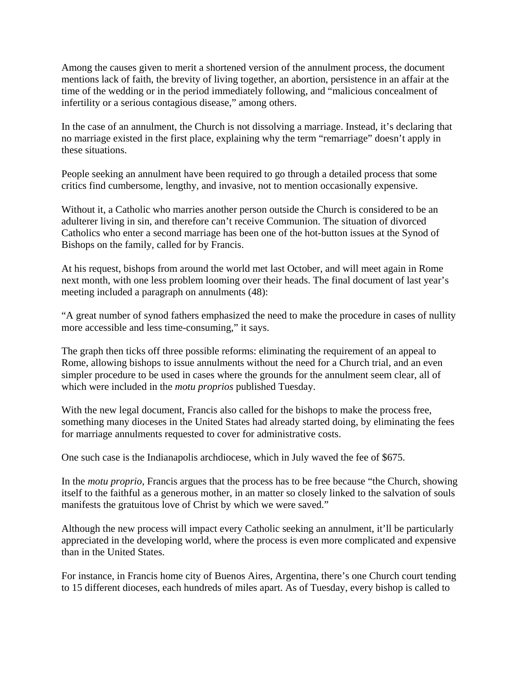Among the causes given to merit a shortened version of the annulment process, the document mentions lack of faith, the brevity of living together, an abortion, persistence in an affair at the time of the wedding or in the period immediately following, and "malicious concealment of infertility or a serious contagious disease," among others.

In the case of an annulment, the Church is not dissolving a marriage. Instead, it's declaring that no marriage existed in the first place, explaining why the term "remarriage" doesn't apply in these situations.

People seeking an annulment have been required to go through a detailed process that some critics find cumbersome, lengthy, and invasive, not to mention occasionally expensive.

Without it, a Catholic who marries another person outside the Church is considered to be an adulterer living in sin, and therefore can't receive Communion. The situation of divorced Catholics who enter a second marriage has been one of the hot-button issues at the Synod of Bishops on the family, called for by Francis.

At his request, bishops from around the world met last October, and will meet again in Rome next month, with one less problem looming over their heads. The final document of last year's meeting included a paragraph on annulments (48):

"A great number of synod fathers emphasized the need to make the procedure in cases of nullity more accessible and less time-consuming," it says.

The graph then ticks off three possible reforms: eliminating the requirement of an appeal to Rome, allowing bishops to issue annulments without the need for a Church trial, and an even simpler procedure to be used in cases where the grounds for the annulment seem clear, all of which were included in the *motu proprios* published Tuesday.

With the new legal document, Francis also called for the bishops to make the process free, something many dioceses in the United States had already started doing, by eliminating the fees for marriage annulments requested to cover for administrative costs.

One such case is the Indianapolis archdiocese, which in July waved the fee of \$675.

In the *motu proprio*, Francis argues that the process has to be free because "the Church, showing itself to the faithful as a generous mother, in an matter so closely linked to the salvation of souls manifests the gratuitous love of Christ by which we were saved."

Although the new process will impact every Catholic seeking an annulment, it'll be particularly appreciated in the developing world, where the process is even more complicated and expensive than in the United States.

For instance, in Francis home city of Buenos Aires, Argentina, there's one Church court tending to 15 different dioceses, each hundreds of miles apart. As of Tuesday, every bishop is called to